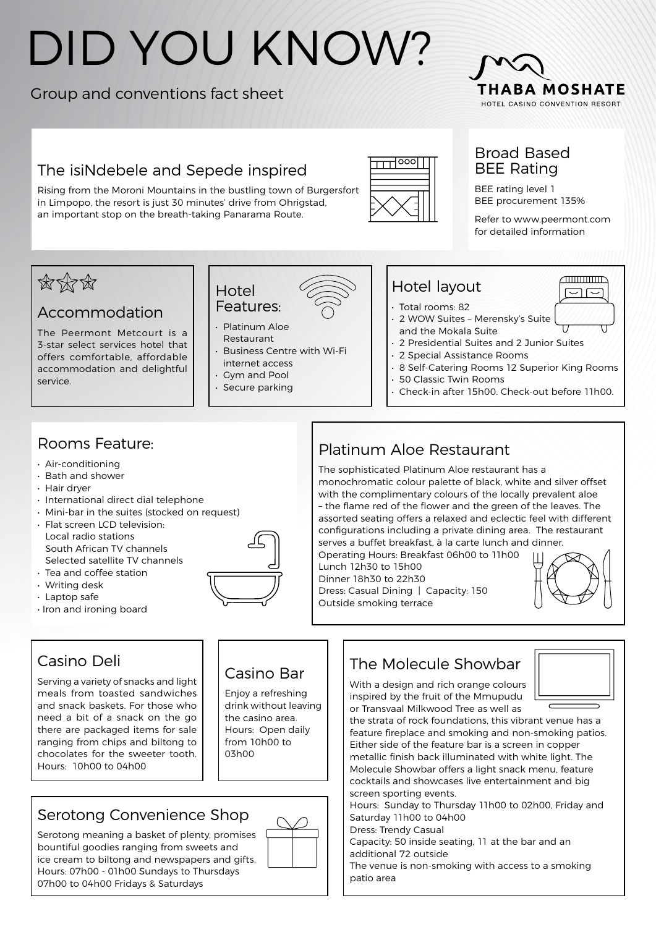# DID YOU KNOW?

## Group and conventions fact sheet



## The isiNdebele and Sepede inspired

Rising from the Moroni Mountains in the bustling town of Burgersfort in Limpopo, the resort is just 30 minutes' drive from Ohrigstad, an important stop on the breath-taking Panarama Route.



### Broad Based BEE Rating

BEE rating level 1 BEE procurement 135%

Refer to www.peermont.com for detailed information

> $\tau$  $\Box$



## Accommodation

The Peermont Metcourt is a 3-star select services hotel that offers comfortable, affordable accommodation and delightful service.



- Features: • Platinum Aloe
- Restaurant • Business Centre with Wi-Fi

Hotel

- internet access
- Gym and Pool • Secure parking

## Hotel layout

- Total rooms: 82
- 2 WOW Suites Merensky's Suite and the Mokala Suite
- 2 Presidential Suites and 2 Junior Suites
- 2 Special Assistance Rooms
- 8 Self-Catering Rooms 12 Superior King Rooms
- 50 Classic Twin Rooms
- Check-in after 15h00. Check-out before 11h00.

## Rooms Feature:

- Air-conditioning
- Bath and shower
- Hair dryer
- International direct dial telephone
- Mini-bar in the suites (stocked on request)
- Flat screen LCD television: Local radio stations South African TV channels Selected satellite TV channels
- Tea and coffee station
- Writing desk
- Laptop safe
- Iron and ironing board

## Casino Deli

Serving a variety of snacks and light meals from toasted sandwiches and snack baskets. For those who need a bit of a snack on the go there are packaged items for sale ranging from chips and biltong to chocolates for the sweeter tooth. Hours: 10h00 to 04h00

## Casino Bar

Enjoy a refreshing drink without leaving the casino area. Hours: Open daily from 10h00 to 03h00

## Serotong Convenience Shop

Serotong meaning a basket of plenty, promises bountiful goodies ranging from sweets and ice cream to biltong and newspapers and gifts. Hours: 07h00 - 01h00 Sundays to Thursdays 07h00 to 04h00 Fridays & Saturdays



## Platinum Aloe Restaurant

The sophisticated Platinum Aloe restaurant has a monochromatic colour palette of black, white and silver offset with the complimentary colours of the locally prevalent aloe – the flame red of the flower and the green of the leaves. The assorted seating offers a relaxed and eclectic feel with different configurations including a private dining area. The restaurant serves a buffet breakfast, à la carte lunch and dinner.

Operating Hours: Breakfast 06h00 to 11h00 Lunch 12h30 to 15h00 Dinner 18h30 to 22h30 Dress: Casual Dining | Capacity: 150 Outside smoking terrace



## The Molecule Showbar

With a design and rich orange colours inspired by the fruit of the Mmupudu or Transvaal Milkwood Tree as well as



the strata of rock foundations, this vibrant venue has a feature fireplace and smoking and non-smoking patios. Either side of the feature bar is a screen in copper metallic finish back illuminated with white light. The Molecule Showbar offers a light snack menu, feature cocktails and showcases live entertainment and big screen sporting events.

Hours: Sunday to Thursday 11h00 to 02h00, Friday and Saturday 11h00 to 04h00

Dress: Trendy Casual

Capacity: 50 inside seating, 11 at the bar and an additional 72 outside

The venue is non-smoking with access to a smoking patio area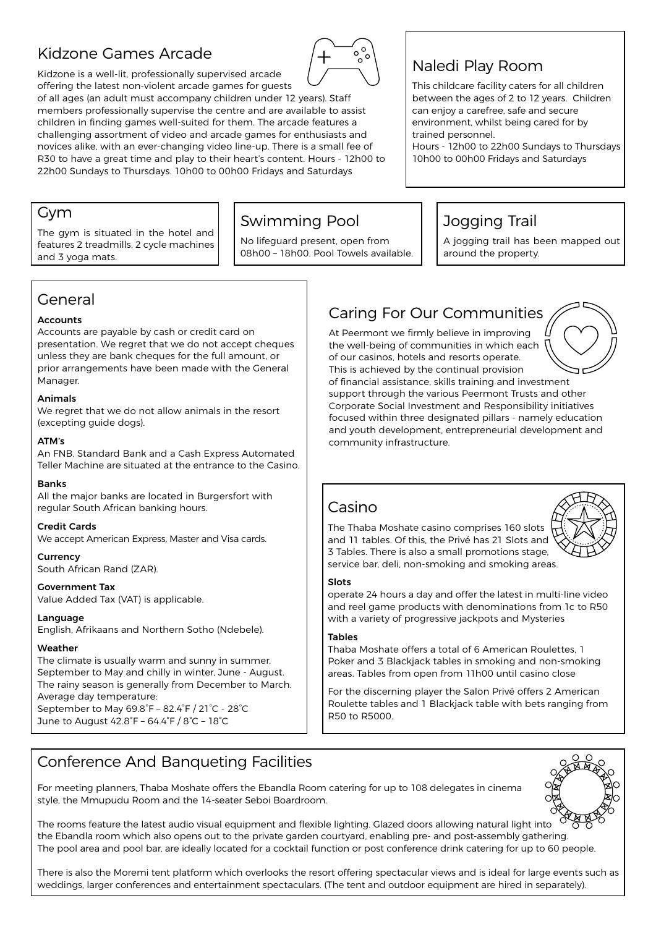## Kidzone Games Arcade



Kidzone is a well-lit, professionally supervised arcade offering the latest non-violent arcade games for guests

of all ages (an adult must accompany children under 12 years). Staff members professionally supervise the centre and are available to assist children in finding games well-suited for them. The arcade features a challenging assortment of video and arcade games for enthusiasts and novices alike, with an ever-changing video line-up. There is a small fee of R30 to have a great time and play to their heart's content. Hours - 12h00 to 22h00 Sundays to Thursdays. 10h00 to 00h00 Fridays and Saturdays

## Naledi Play Room

This childcare facility caters for all children between the ages of 2 to 12 years. Children can enjoy a carefree, safe and secure environment, whilst being cared for by trained personnel.

Hours - 12h00 to 22h00 Sundays to Thursdays 10h00 to 00h00 Fridays and Saturdays

#### Gym

The gym is situated in the hotel and features 2 treadmills, 2 cycle machines and 3 yoga mats.

## Swimming Pool

No lifeguard present, open from 08h00 – 18h00. Pool Towels available.

## Jogging Trail

A jogging trail has been mapped out around the property.

## General

#### **Accounts**

Accounts are payable by cash or credit card on presentation. We regret that we do not accept cheques unless they are bank cheques for the full amount, or prior arrangements have been made with the General Manager.

#### Animals

We regret that we do not allow animals in the resort (excepting guide dogs).

#### ATM's

An FNB, Standard Bank and a Cash Express Automated Teller Machine are situated at the entrance to the Casino.

#### Banks

All the major banks are located in Burgersfort with regular South African banking hours.

#### Credit Cards

We accept American Express, Master and Visa cards.

#### **Currency**

South African Rand (ZAR).

Government Tax Value Added Tax (VAT) is applicable.

Language English, Afrikaans and Northern Sotho (Ndebele).

#### Weather

The climate is usually warm and sunny in summer, September to May and chilly in winter, June - August. The rainy season is generally from December to March. Average day temperature: September to May 69.8°F – 82.4°F / 21°C - 28°C

June to August 42.8°F – 64.4°F / 8°C – 18°C

## Caring For Our Communities

At Peermont we firmly believe in improving the well-being of communities in which each of our casinos, hotels and resorts operate. This is achieved by the continual provision of financial assistance, skills training and investment support through the various Peermont Trusts and other Corporate Social Investment and Responsibility initiatives focused within three designated pillars - namely education and youth development, entrepreneurial development and community infrastructure.

## Casino

The Thaba Moshate casino comprises 160 slots and 11 tables. Of this, the Privé has 21 Slots and 3 Tables. There is also a small promotions stage, service bar, deli, non-smoking and smoking areas.



operate 24 hours a day and offer the latest in multi-line video and reel game products with denominations from 1c to R50 with a variety of progressive jackpots and Mysteries

#### Tables

Thaba Moshate offers a total of 6 American Roulettes, 1 Poker and 3 Blackjack tables in smoking and non-smoking areas. Tables from open from 11h00 until casino close

For the discerning player the Salon Privé offers 2 American Roulette tables and 1 Blackjack table with bets ranging from R50 to R5000.

## Conference And Banqueting Facilities

For meeting planners, Thaba Moshate offers the Ebandla Room catering for up to 108 delegates in cinema style, the Mmupudu Room and the 14-seater Seboi Boardroom.



The rooms feature the latest audio visual equipment and flexible lighting. Glazed doors allowing natural light into the Ebandla room which also opens out to the private garden courtyard, enabling pre- and post-assembly gathering. The pool area and pool bar, are ideally located for a cocktail function or post conference drink catering for up to 60 people.

There is also the Moremi tent platform which overlooks the resort offering spectacular views and is ideal for large events such as weddings, larger conferences and entertainment spectaculars. (The tent and outdoor equipment are hired in separately).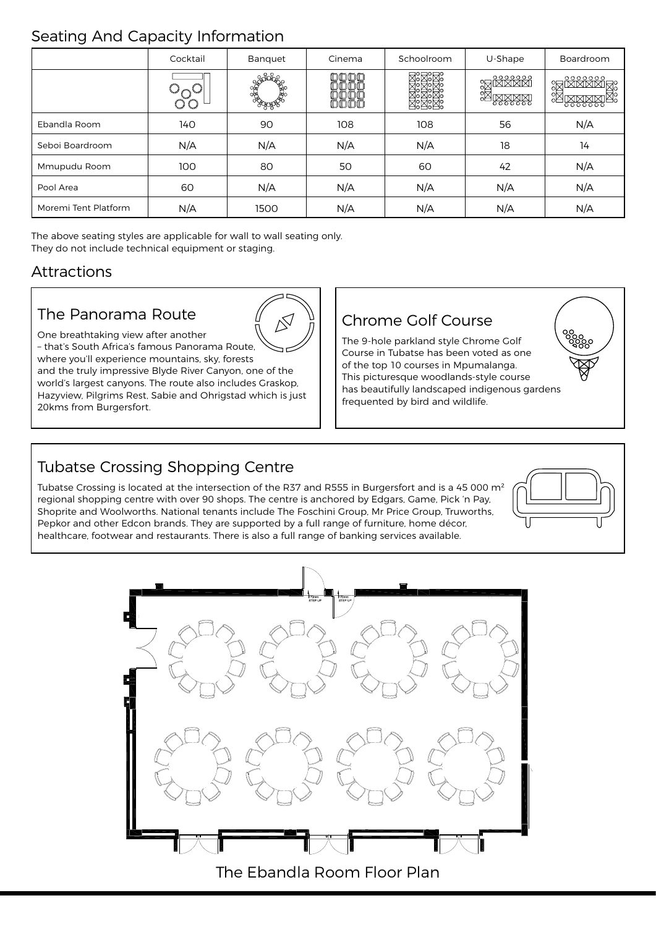## Seating And Capacity Information

|                      | Cocktail | Banquet | Cinema    | Schoolroom | U-Shape                       | Boardroom                 |
|----------------------|----------|---------|-----------|------------|-------------------------------|---------------------------|
|                      |          |         | ЮO<br>Oſ. |            | <b>REARRE</b><br><u>IMMMM</u> | <u>IMMMMIA</u><br>0000000 |
| Ebandla Room         | 140      | 90      | 108       | 108        | 56                            | N/A                       |
| Seboi Boardroom      | N/A      | N/A     | N/A       | N/A        | 18                            | 14                        |
| Mmupudu Room         | 100      | 80      | 50        | 60         | 42                            | N/A                       |
| Pool Area            | 60       | N/A     | N/A       | N/A        | N/A                           | N/A                       |
| Moremi Tent Platform | N/A      | 1500    | N/A       | N/A        | N/A                           | N/A                       |

The above seating styles are applicable for wall to wall seating only. They do not include technical equipment or staging.

## Attractions

## The Panorama Route



One breathtaking view after another – that's South Africa's famous Panorama Route, where you'll experience mountains, sky, forests

and the truly impressive Blyde River Canyon, one of the world's largest canyons. The route also includes Graskop, Hazyview, Pilgrims Rest, Sabie and Ohrigstad which is just 20kms from Burgersfort.

## Chrome Golf Course

The 9-hole parkland style Chrome Golf Course in Tubatse has been voted as one of the top 10 courses in Mpumalanga. This picturesque woodlands-style course has beautifully landscaped indigenous gardens frequented by bird and wildlife.

## Tubatse Crossing Shopping Centre

Tubatse Crossing is located at the intersection of the R37 and R555 in Burgersfort and is a 45 000 m<sup>2</sup> regional shopping centre with over 90 shops. The centre is anchored by Edgars, Game, Pick 'n Pay, Shoprite and Woolworths. National tenants include The Foschini Group, Mr Price Group, Truworths, Pepkor and other Edcon brands. They are supported by a full range of furniture, home décor, healthcare, footwear and restaurants. There is also a full range of banking services available.